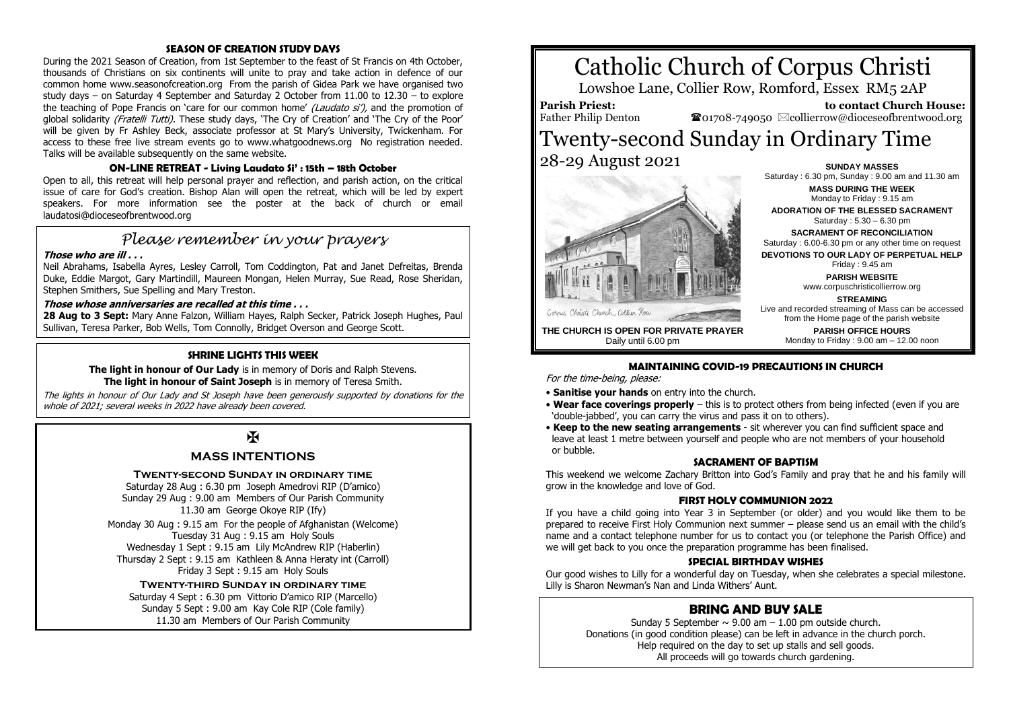#### **SEASON OF CREATION STUDY DAYS**

During the 2021 Season of Creation, from 1st September to the feast of St Francis on 4th October, thousands of Christians on six continents will unite to pray and take action in defence of our common home www.seasonofcreation.org From the parish of Gidea Park we have organised two study days – on Saturday 4 September and Saturday 2 October from 11.00 to 12.30 – to explore the teaching of Pope Francis on 'care for our common home' (Laudato si'), and the promotion of global solidarity (Fratelli Tutti). These study days, 'The Cry of Creation' and 'The Cry of the Poor' will be given by Fr Ashley Beck, associate professor at St Mary's University, Twickenham. For access to these free live stream events go to www.whatgoodnews.org No registration needed. Talks will be available subsequently on the same website.

#### **ON-LINE RETREAT - Living Laudato Si' : 15th – 18th October**

Open to all, this retreat will help personal prayer and reflection, and parish action, on the critical issue of care for God's creation. Bishop Alan will open the retreat, which will be led by expert speakers. For more information see the poster at the back of church or email laudatosi@dioceseofbrentwood.org

# *Please remember in your prayers*

#### **Those who are ill . . .**

Neil Abrahams, Isabella Ayres, Lesley Carroll, Tom Coddington, Pat and Janet Defreitas, Brenda Duke, Eddie Margot, Gary Martindill, Maureen Mongan, Helen Murray, Sue Read, Rose Sheridan, Stephen Smithers, Sue Spelling and Mary Treston.

#### **Those whose anniversaries are recalled at this time . . .**

**28 Aug to 3 Sept:** Mary Anne Falzon, William Hayes, Ralph Secker, Patrick Joseph Hughes, Paul Sullivan, Teresa Parker, Bob Wells, Tom Connolly, Bridget Overson and George Scott.

#### **SHRINE LIGHTS THIS WEEK**

**The light in honour of Our Lady** is in memory of Doris and Ralph Stevens. **The light in honour of Saint Joseph** is in memory of Teresa Smith.

The lights in honour of Our Lady and St Joseph have been generously supported by donations for the whole of 2021; several weeks in 2022 have already been covered.

# $\overline{M}$

#### **MASS INTENTIONS**

#### **Twenty-second Sunday in ordinary time**

Saturday 28 Aug : 6.30 pm Joseph Amedrovi RIP (D'amico) Sunday 29 Aug : 9.00 am Members of Our Parish Community 11.30 am George Okoye RIP (Ify)

Monday 30 Aug : 9.15 am For the people of Afghanistan (Welcome) Tuesday 31 Aug : 9.15 am Holy Souls Wednesday 1 Sept : 9.15 am Lily McAndrew RIP (Haberlin) Thursday 2 Sept : 9.15 am Kathleen & Anna Heraty int (Carroll) Friday 3 Sept : 9.15 am Holy Souls

#### **Twenty-third Sunday in ordinary time**

Saturday 4 Sept : 6.30 pm Vittorio D'amico RIP (Marcello) Sunday 5 Sept : 9.00 am Kay Cole RIP (Cole family) 11.30 am Members of Our Parish Community

# Catholic Church of Corpus Christi

Lowshoe Lane, Collier Row, Romford, Essex RM5 2AP

**Parish Priest:** Father Philip Denton

 **to contact Church House: </u> southbook** $-749050 ∞collierrow@dioceseofbrentwood.org$ 

## Twenty-second Sunday in Ordinary Time 28-29 August 2021 **SUNDAY MASSES**



Saturday : 6.30 pm, Sunday : 9.00 am and 11.30 am **MASS DURING THE WEEK** Monday to Friday : 9.15 am **ADORATION OF THE BLESSED SACRAMENT** Saturday : 5.30 – 6.30 pm **SACRAMENT OF RECONCILIATION** Saturday : 6.00-6.30 pm or any other time on request **DEVOTIONS TO OUR LADY OF PERPETUAL HELP** Friday : 9.45 am **PARISH WEBSITE** www.corpuschristicollierrow.org **STREAMING** Live and recorded streaming of Mass can be accessed from the Home page of the parish website

> **PARISH OFFICE HOURS** Monday to Friday : 9.00 am – 12.00 noon

**THE CHURCH IS OPEN FOR PRIVATE PRAYER** Daily until 6.00 pm

#### **MAINTAINING COVID-19 PRECAUTIONS IN CHURCH**

For the time-being, please:

- **Sanitise your hands** on entry into the church.
- **Wear face coverings properly** this is to protect others from being infected (even if you are 'double-jabbed', you can carry the virus and pass it on to others).
- **Keep to the new seating arrangements** sit wherever you can find sufficient space and leave at least 1 metre between yourself and people who are not members of your household or bubble.

#### **SACRAMENT OF BAPTISM**

This weekend we welcome Zachary Britton into God's Family and pray that he and his family will grow in the knowledge and love of God.

#### **FIRST HOLY COMMUNION 2022**

If you have a child going into Year 3 in September (or older) and you would like them to be prepared to receive First Holy Communion next summer – please send us an email with the child's name and a contact telephone number for us to contact you (or telephone the Parish Office) and we will get back to you once the preparation programme has been finalised.

#### **SPECIAL BIRTHDAY WISHES**

Our good wishes to Lilly for a wonderful day on Tuesday, when she celebrates a special milestone. Lilly is Sharon Newman's Nan and Linda Withers' Aunt.

### **BRING AND BUY SALE**

Sunday 5 September  $\sim$  9.00 am  $-1.00$  pm outside church. Donations (in good condition please) can be left in advance in the church porch. Help required on the day to set up stalls and sell goods. All proceeds will go towards church gardening.